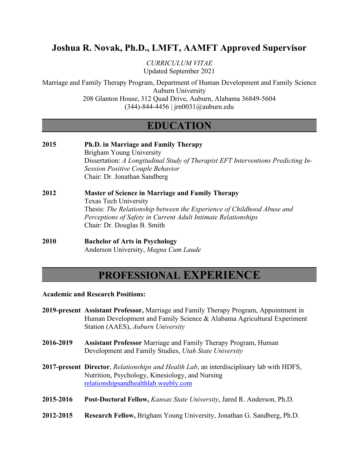# **Joshua R. Novak, Ph.D., LMFT, AAMFT Approved Supervisor**

*CURRICULUM VITAE* Updated September 2021

Marriage and Family Therapy Program, Department of Human Development and Family Science Auburn University 208 Glanton House, 312 Quad Drive, Auburn, Alabama 36849-5604

(344)-844-4456 | jrn0031@auburn.edu

# **EDUCATION**

**2015 Ph.D. in Marriage and Family Therapy** Brigham Young University Dissertation: *A Longitudinal Study of Therapist EFT Interventions Predicting In-Session Positive Couple Behavior* Chair: Dr. Jonathan Sandberg **2012 Master of Science in Marriage and Family Therapy** Texas Tech University

> Thesis: *The Relationship between the Experience of Childhood Abuse and Perceptions of Safety in Current Adult Intimate Relationships* Chair: Dr. Douglas B. Smith

**2010 Bachelor of Arts in Psychology** Anderson University, *Magna Cum Laude*

# **PROFESSIONAL EXPERIENCE**

**Academic and Research Positions:**

- **2019-present Assistant Professor,** Marriage and Family Therapy Program, Appointment in Human Development and Family Science & Alabama Agricultural Experiment Station (AAES), *Auburn University*
- **2016-2019 Assistant Professor** Marriage and Family Therapy Program, Human Development and Family Studies, *Utah State University*
- **2017-present Director**, *Relationships and Health Lab*, an interdisciplinary lab with HDFS, Nutrition, Psychology, Kinesiology, and Nursing relationshipsandhealthlab.weebly.com
- **2015-2016 Post-Doctoral Fellow,** *Kansas State University*, Jared R. Anderson, Ph.D.
- **2012-2015 Research Fellow,** Brigham Young University, Jonathan G. Sandberg, Ph.D.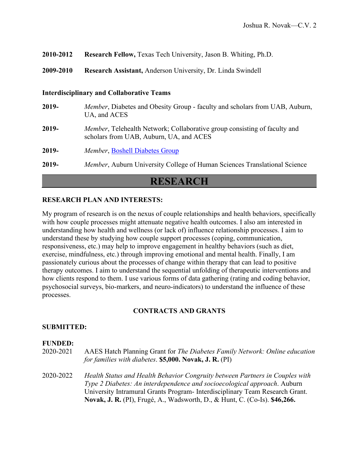| 2010-2012 Research Fellow, Texas Tech University, Jason B. Whiting, Ph.D. |
|---------------------------------------------------------------------------|
|---------------------------------------------------------------------------|

**2009-2010 Research Assistant,** Anderson University, Dr. Linda Swindell

#### **Interdisciplinary and Collaborative Teams**

**2019-** *Member*, Diabetes and Obesity Group - faculty and scholars from UAB, Auburn, UA, and ACES **2019-** *Member*, Telehealth Network; Collaborative group consisting of faculty and scholars from UAB, Auburn, UA, and ACES **2019-** *Member*, [Boshell Diabetes Group](https://www.vetmed.auburn.edu/boshell/) **2019-** *Member*, Auburn University College of Human Sciences Translational Science

## **RESEARCH**

### **RESEARCH PLAN AND INTERESTS:**

My program of research is on the nexus of couple relationships and health behaviors, specifically with how couple processes might attenuate negative health outcomes. I also am interested in understanding how health and wellness (or lack of) influence relationship processes. I aim to understand these by studying how couple support processes (coping, communication, responsiveness, etc.) may help to improve engagement in healthy behaviors (such as diet, exercise, mindfulness, etc.) through improving emotional and mental health. Finally, I am passionately curious about the processes of change within therapy that can lead to positive therapy outcomes. I aim to understand the sequential unfolding of therapeutic interventions and how clients respond to them. I use various forms of data gathering (rating and coding behavior, psychosocial surveys, bio-markers, and neuro-indicators) to understand the influence of these processes.

### **CONTRACTS AND GRANTS**

#### **SUBMITTED:**

#### **FUNDED:**

- 2020-2021 AAES Hatch Planning Grant for *The Diabetes Family Network: Online education for families with diabetes*. **\$5,000. Novak, J. R.** (PI)
- 2020-2022 *Health Status and Health Behavior Congruity between Partners in Couples with Type 2 Diabetes: An interdependence and socioecological approach*. Auburn University Intramural Grants Program- Interdisciplinary Team Research Grant. **Novak, J. R.** (PI), Frugé, A., Wadsworth, D., & Hunt, C. (Co-Is). **\$46,266.**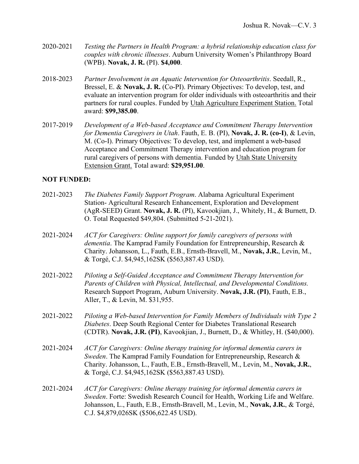- 2020-2021 *Testing the Partners in Health Program: a hybrid relationship education class for couples with chronic illnesses*. Auburn University Women's Philanthropy Board (WPB). **Novak, J. R.** (PI). **\$4,000**.
- 2018-2023 *Partner Involvement in an Aquatic Intervention for Osteoarthritis*. Seedall, R., Bressel, E. & **Novak, J. R.** (Co-PI). Primary Objectives: To develop, test, and evaluate an intervention program for older individuals with osteoarthritis and their partners for rural couples. Funded by Utah Agriculture Experiment Station. Total award: **\$99,385.00**.
- 2017-2019 *Development of a Web-based Acceptance and Commitment Therapy Intervention for Dementia Caregivers in Utah*. Fauth, E. B. (PI), **Novak, J. R. (co-I)**, & Levin, M. (Co-I). Primary Objectives: To develop, test, and implement a web-based Acceptance and Commitment Therapy intervention and education program for rural caregivers of persons with dementia. Funded by Utah State University Extension Grant. Total award: **\$29,951.00**.

### **NOT FUNDED:**

2021-2023 *The Diabetes Family Support Program*. Alabama Agricultural Experiment Station- Agricultural Research Enhancement, Exploration and Development (AgR-SEED) Grant. **Novak, J. R.** (PI), Kavookjian, J., Whitely, H., & Burnett, D. O. Total Requested \$49,804. (Submitted 5-21-2021). 2021-2024 *ACT for Caregivers: Online support for family caregivers of persons with dementia*. The Kamprad Family Foundation for Entrepreneurship, Research & Charity. Johansson, L., Fauth, E.B., Ernsth-Bravell, M., **Novak, J.R.**, Levin, M., & Torgé, C.J. \$4,945,162SK (\$563,887.43 USD). 2021-2022 *Piloting a Self-Guided Acceptance and Commitment Therapy Intervention for Parents of Children with Physical, Intellectual, and Developmental Conditions.*  Research Support Program, Auburn University. **Novak, J.R. (PI)**, Fauth, E.B., Aller, T., & Levin, M. \$31,955. 2021-2022 *Piloting a Web-based Intervention for Family Members of Individuals with Type 2 Diabetes*. Deep South Regional Center for Diabetes Translational Research (CDTR). **Novak, J.R. (PI)**, Kavookjian, J., Burnett, D., & Whitley, H. (\$40,000). 2021-2024 *ACT for Caregivers: Online therapy training for informal dementia carers in Sweden*. The Kamprad Family Foundation for Entrepreneurship, Research & Charity. Johansson, L., Fauth, E.B., Ernsth-Bravell, M., Levin, M., **Novak, J.R.**, & Torgé, C.J. \$4,945,162SK (\$563,887.43 USD). 2021-2024 *ACT for Caregivers: Online therapy training for informal dementia carers in Sweden*. Forte: Swedish Research Council for Health, Working Life and Welfare. Johansson, L., Fauth, E.B., Ernsth-Bravell, M., Levin, M., **Novak, J.R.**, & Torgé, C.J. \$4,879,026SK (\$506,622.45 USD).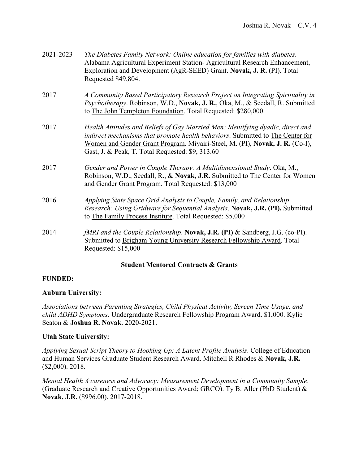| 2021-2023 | The Diabetes Family Network: Online education for families with diabetes.<br>Alabama Agricultural Experiment Station-Agricultural Research Enhancement,<br>Exploration and Development (AgR-SEED) Grant. Novak, J. R. (PI). Total<br>Requested \$49,804.                                              |
|-----------|-------------------------------------------------------------------------------------------------------------------------------------------------------------------------------------------------------------------------------------------------------------------------------------------------------|
| 2017      | A Community Based Participatory Research Project on Integrating Spirituality in<br>Psychotherapy. Robinson, W.D., Novak, J. R., Oka, M., & Seedall, R. Submitted<br>to The John Templeton Foundation. Total Requested: \$280,000.                                                                     |
| 2017      | Health Attitudes and Beliefs of Gay Married Men: Identifying dyadic, direct and<br>indirect mechanisms that promote health behaviors. Submitted to The Center for<br>Women and Gender Grant Program. Miyairi-Steel, M. (PI), Novak, J. R. (Co-I),<br>Gast, J. & Peak, T. Total Requested: \$9, 313.60 |
| 2017      | Gender and Power in Couple Therapy: A Multidimensional Study. Oka, M.,<br>Robinson, W.D., Seedall, R., & Novak, J.R. Submitted to The Center for Women<br>and Gender Grant Program. Total Requested: \$13,000                                                                                         |
| 2016      | Applying State Space Grid Analysis to Couple, Family, and Relationship<br>Research: Using Gridware for Sequential Analysis. Novak, J.R. (PI). Submitted<br>to The Family Process Institute. Total Requested: \$5,000                                                                                  |
| 2014      | fMRI and the Couple Relationship. Novak, J.R. (PI) & Sandberg, J.G. (co-PI).<br>Submitted to Brigham Young University Research Fellowship Award. Total<br>Requested: \$15,000                                                                                                                         |

### **Student Mentored Contracts & Grants**

## **FUNDED:**

## **Auburn University:**

*Associations between Parenting Strategies, Child Physical Activity, Screen Time Usage, and child ADHD Symptoms*. Undergraduate Research Fellowship Program Award. \$1,000. Kylie Seaton & **Joshua R. Novak**. 2020-2021.

### **Utah State University:**

*Applying Sexual Script Theory to Hooking Up: A Latent Profile Analysis*. College of Education and Human Services Graduate Student Research Award. Mitchell R Rhodes & **Novak, J.R.**  (\$2,000). 2018.

*Mental Health Awareness and Advocacy: Measurement Development in a Community Sample*. (Graduate Research and Creative Opportunities Award; GRCO). Ty B. Aller (PhD Student) & **Novak, J.R.** (\$996.00). 2017-2018.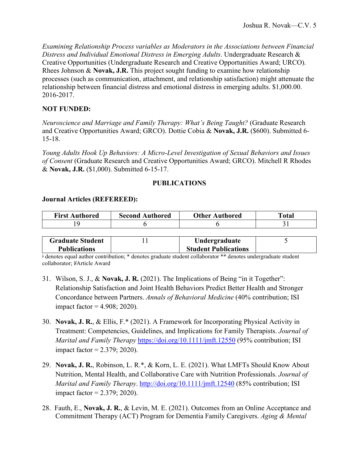*Examining Relationship Process variables as Moderators in the Associations between Financial Distress and Individual Emotional Distress in Emerging Adults*. Undergraduate Research & Creative Opportunities (Undergraduate Research and Creative Opportunities Award; URCO). Rhees Johnson & **Novak, J.R.** This project sought funding to examine how relationship processes (such as communication, attachment, and relationship satisfaction) might attenuate the relationship between financial distress and emotional distress in emerging adults. \$1,000.00. 2016-2017.

### **NOT FUNDED:**

*Neuroscience and Marriage and Family Therapy: What's Being Taught?* (Graduate Research and Creative Opportunities Award; GRCO). Dottie Cobia & **Novak, J.R.** (\$600). Submitted 6- 15-18.

*Young Adults Hook Up Behaviors: A Micro-Level Investigation of Sexual Behaviors and Issues of Consent* (Graduate Research and Creative Opportunities Award; GRCO). Mitchell R Rhodes & **Novak, J.R.** (\$1,000). Submitted 6-15-17.

### **PUBLICATIONS**

### **Journal Articles (REFEREED):**

| <b>First Authored</b> | <b>Second Authored</b> | <b>Other Authored</b> | `otal |
|-----------------------|------------------------|-----------------------|-------|
|                       |                        |                       |       |

| <b>Graduate Student</b> | Undergraduate               |  |
|-------------------------|-----------------------------|--|
| <b>Publications</b>     | <b>Student Publications</b> |  |

ǂ denotes equal author contribution; \* denotes graduate student collaborator \*\* denotes undergraduate student collaborator; *¥*Article Award

- 31. Wilson, S. J., & **Novak, J. R.** (2021). The Implications of Being "in it Together": Relationship Satisfaction and Joint Health Behaviors Predict Better Health and Stronger Concordance between Partners. *Annals of Behavioral Medicine* (40% contribution; ISI impact factor  $=$  4.908; 2020).
- 30. **Novak, J. R.**, & Ellis, F.\* (2021). A Framework for Incorporating Physical Activity in Treatment: Competencies, Guidelines, and Implications for Family Therapists. *Journal of Marital and Family Therapy* <https://doi.org/10.1111/jmft.12550> (95% contribution; ISI impact factor  $= 2.379$ ; 2020).
- 29. **Novak, J. R.**, Robinson, L. R.\*, & Korn, L. E. (2021). What LMFTs Should Know About Nutrition, Mental Health, and Collaborative Care with Nutrition Professionals. *Journal of Marital and Family Therapy.* <http://doi.org/10.1111/jmft.12540> (85% contribution; ISI impact factor  $= 2.379$ ; 2020).
- 28. Fauth, E., **Novak, J. R.**, & Levin, M. E. (2021). Outcomes from an Online Acceptance and Commitment Therapy (ACT) Program for Dementia Family Caregivers. *Aging & Mental*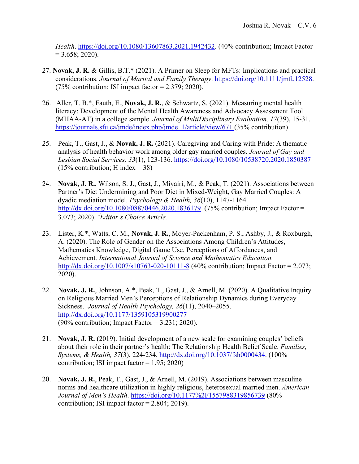*Health*. [https://doi.org/10.1080/13607863.2021.1942432.](https://doi.org/10.1080/13607863.2021.1942432) (40% contribution; Impact Factor  $= 3.658$ ; 2020).

- 27. **Novak, J. R.** & Gillis, B.T.\* (2021). A Primer on Sleep for MFTs: Implications and practical considerations. *Journal of Marital and Family Therapy*. [https://doi.org/10.1111/jmft.12528.](https://doi.org/10.1111/jmft.12528)  $(75\%$  contribution; ISI impact factor = 2.379; 2020).
- 26. Aller, T. B.\*, Fauth, E., **Novak, J. R.**, & Schwartz, S. (2021). Measuring mental health literacy: Development of the Mental Health Awareness and Advocacy Assessment Tool (MHAA-AT) in a college sample. *Journal of MultiDisciplinary Evaluation, 17*(39), 15-31. https://journals.sfu.ca/jmde/index.php/imde\_1/article/view/671 (35% contribution).
- 25. Peak, T., Gast, J., & **Novak, J. R.** (2021). Caregiving and Caring with Pride: A thematic analysis of health behavior work among older gay married couples. *Journal of Gay and Lesbian Social Services, 33*(1), 123-136. <https://doi.org/10.1080/10538720.2020.1850387>  $(15\%$  contribution; H index = 38)
- 24. **Novak, J. R.**, Wilson, S. J., Gast, J., Miyairi, M., & Peak, T. (2021). Associations between Partner's Diet Undermining and Poor Diet in Mixed-Weight, Gay Married Couples: A dyadic mediation model. *Psychology & Health, 36*(10), 1147-1164. <http://dx.doi.org/10.1080/08870446.2020.1836179>(75% contribution; Impact Factor = 3.073; 2020). ¥*Editor's Choice Article.*
- 23. Lister, K.\*, Watts, C. M., **Novak, J. R.**, Moyer-Packenham, P. S., Ashby, J., & Roxburgh, A. (2020). The Role of Gender on the Associations Among Children's Attitudes, Mathematics Knowledge, Digital Game Use, Perceptions of Affordances, and Achievement. *International Journal of Science and Mathematics Education.* <http://dx.doi.org/10.1007/s10763-020-10111-8> (40% contribution; Impact Factor = 2.073; 2020).
- 22. **Novak, J. R.**, Johnson, A.\*, Peak, T., Gast, J., & Arnell, M. (2020). A Qualitative Inquiry on Religious Married Men's Perceptions of Relationship Dynamics during Everyday Sickness. *Journal of Health Psychology, 26*(11), 2040–2055. <http://dx.doi.org/10.1177/1359105319900277> (90% contribution; Impact Factor =  $3.231$ ; 2020).
- 21. **Novak, J. R.** (2019). Initial development of a new scale for examining couples' beliefs about their role in their partner's health: The Relationship Health Belief Scale. *Families, Systems, & Health, 37*(3), 224-234. [http://dx.doi.org/10.1037/fsh0000434.](http://dx.doi.org/10.1037/fsh0000434) (100% contribution; ISI impact factor  $= 1.95$ ; 2020)
- 20. **Novak, J. R.**, Peak, T., Gast, J., & Arnell, M. (2019). Associations between masculine norms and healthcare utilization in highly religious, heterosexual married men. *American Journal of Men's Health*.<https://doi.org/10.1177%2F1557988319856739> (80% contribution; ISI impact factor =  $2.804$ ;  $2019$ ).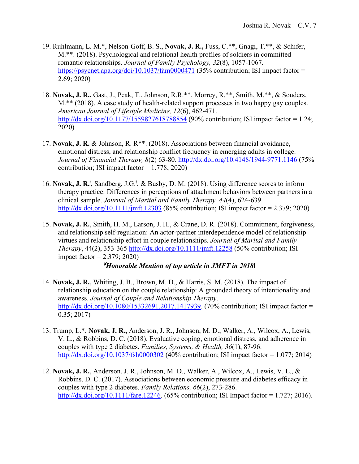- 19. Ruhlmann, L. M.\*, Nelson-Goff, B. S., **Novak, J. R.,** Fuss, C.\*\*, Gnagi, T.\*\*, & Schifer, M.\*\*. (2018). Psychological and relational health profiles of soldiers in committed romantic relationships. *Journal of Family Psychology, 32*(8), 1057-1067*.* <https://psycnet.apa.org/doi/10.1037/fam0000471> (35% contribution; ISI impact factor = 2.69; 2020)
- 18. **Novak, J. R.,** Gast, J., Peak, T., Johnson, R.R.\*\*, Morrey, R.\*\*, Smith, M.\*\*, & Souders, M.\*\* (2018). A case study of health-related support processes in two happy gay couples. *American Journal of Lifestyle Medicine, 12*(6), 462-471. <http://dx.doi.org/10.1177/1559827618788854> (90% contribution; ISI impact factor = 1.24; 2020)
- 17. **Novak, J. R.** & Johnson, R. R\*\*. (2018). Associations between financial avoidance, emotional distress, and relationship conflict frequency in emerging adults in college. *Journal of Financial Therapy, 8*(2) 63-80*.* <http://dx.doi.org/10.4148/1944-9771.1146> (75% contribution; ISI impact factor  $= 1.778$ ; 2020)
- 16. **Novak, J. R.**<sup>‡</sup>, Sandberg, J.G.<sup>‡</sup>, & Busby, D. M. (2018). Using difference scores to inform therapy practice: Differences in perceptions of attachment behaviors between partners in a clinical sample. *Journal of Marital and Family Therapy, 44*(4), 624-639. <http://dx.doi.org/10.1111/jmft.12303> (85% contribution; ISI impact factor = 2.379; 2020)
- 15. **Novak, J. R.**, Smith, H. M., Larson, J. H., & Crane, D. R. (2018). Commitment, forgiveness, and relationship self-regulation: An actor-partner interdependence model of relationship virtues and relationship effort in couple relationships. *Journal of Marital and Family Therapy*, 44(2), 353-365<http://dx.doi.org/10.1111/jmft.12258> (50% contribution; ISI impact factor  $= 2.379$ ; 2020)

### ¥*Honorable Mention of top article in JMFT in 2018ǂ*

- 14. **Novak, J. R.**, Whiting, J. B., Brown, M. D., & Harris, S. M. (2018). The impact of relationship education on the couple relationship: A grounded theory of intentionality and awareness. *Journal of Couple and Relationship Therapy*. [http://dx.doi.org/10.1080/15332691.2017.1417939.](http://dx.doi.org/10.1080/15332691.2017.1417939) (70% contribution; ISI impact factor = 0.35; 2017)
- 13. Trump, L.\*, **Novak, J. R.,** Anderson, J. R., Johnson, M. D., Walker, A., Wilcox, A., Lewis, V. L., & Robbins, D. C. (2018). Evaluative coping, emotional distress, and adherence in couples with type 2 diabetes. *Families, Systems, & Health, 36*(1), 87-96. <http://dx.doi.org/10.1037/fsh0000302> (40% contribution; ISI impact factor = 1.077; 2014)
- 12. **Novak, J. R.**, Anderson, J. R., Johnson, M. D., Walker, A., Wilcox, A., Lewis, V. L., & Robbins, D. C. (2017). Associations between economic pressure and diabetes efficacy in couples with type 2 diabetes. *Family Relations, 66*(2), 273-286. [http://dx.doi.org/10.1111/fare.12246.](http://dx.doi.org/10.1111/fare.12246) (65% contribution; ISI Impact factor = 1.727; 2016).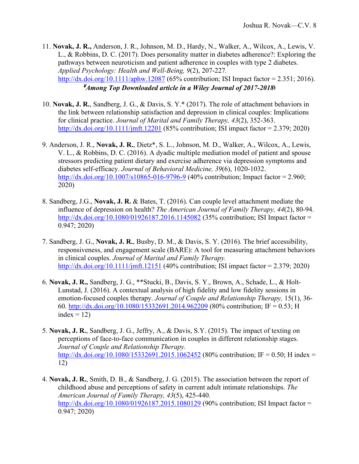11. **Novak, J. R.,** Anderson, J. R., Johnson, M. D., Hardy, N., Walker, A., Wilcox, A., Lewis, V. L., & Robbins, D. C. (2017). Does personality matter in diabetes adherence?: Exploring the pathways between neuroticism and patient adherence in couples with type 2 diabetes. *Applied Psychology: Health and Well-Being, 9*(2), 207-227*.* <http://dx.doi.org/10.1111/aphw.12087> (65% contribution; ISI Impact factor = 2.351; 2016). ¥*Among Top Downloaded article in a Wiley Journal of 2017-2018ǂ*

- 10. **Novak, J. R.**, Sandberg, J. G., & Davis, S. Y.\* (2017). The role of attachment behaviors in the link between relationship satisfaction and depression in clinical couples: Implications for clinical practice. *Journal of Marital and Family Therapy, 43*(2), 352-363. <http://dx.doi.org/10.1111/jmft.12201> (85% contribution; ISI impact factor = 2.379; 2020)
- 9. Anderson, J. R., **Novak, J. R.**, Dietz\*, S. L., Johnson, M. D., Walker, A., Wilcox, A., Lewis, V. L., & Robbins, D. C. (2016). A dyadic multiple mediation model of patient and spouse stressors predicting patient dietary and exercise adherence via depression symptoms and diabetes self-efficacy. *Journal of Behavioral Medicine, 39*(6), 1020-1032. <http://dx.doi.org/10.1007/s10865-016-9796-9> (40% contribution; Impact factor = 2.960; 2020)
- 8. Sandberg, J.G., **Novak, J. R.** & Bates, T. (2016). Can couple level attachment mediate the influence of depression on health? *The American Journal of Family Therapy, 44*(2), 80-94. <http://dx.doi.org/10.1080/01926187.2016.1145082> (35% contribution; ISI Impact factor = 0.947; 2020)
- 7. Sandberg, J. G., **Novak, J. R.**, Busby, D. M., & Davis, S. Y. (2016). The brief accessibility, responsiveness, and engagement scale (BARE): A tool for measuring attachment behaviors in clinical couples. *Journal of Marital and Family Therapy.*  <http://dx.doi.org/10.1111/jmft.12151> (40% contribution; ISI impact factor = 2.379; 2020)
- 6. **Novak, J. R.,** Sandberg, J. G., \*\*Stucki, B., Davis, S. Y., Brown, A., Schade, L., & Holt-Lunstad, J. (2016). A contextual analysis of high fidelity and low fidelity sessions in emotion-focused couples therapy. *Journal of Couple and Relationship Therapy,* 15(1), 36- 60.<http://dx.doi.org/10.1080/15332691.2014.962209> (80% contribution; IF = 0.53; H index  $= 12$ )
- 5. **Novak, J. R.**, Sandberg, J. G., Jeffry, A., & Davis, S.Y. (2015). The impact of texting on perceptions of face-to-face communication in couples in different relationship stages. *Journal of Couple and Relationship Therapy.* <http://dx.doi.org/10.1080/15332691.2015.1062452> (80% contribution; IF = 0.50; H index = 12)
- 4. **Novak, J. R.**, Smith, D. B., & Sandberg, J. G. (2015). The association between the report of childhood abuse and perceptions of safety in current adult intimate relationships. *The American Journal of Family Therapy, 43*(5), 425-440*.* <http://dx.doi.org/10.1080/01926187.2015.1080129> (90% contribution; ISI Impact factor = 0.947; 2020)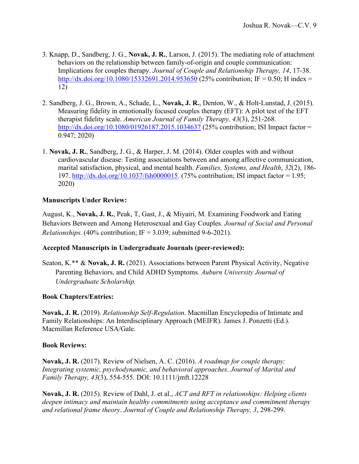- 3. Knapp, D., Sandberg, J. G., **Novak, J. R.**, Larson, J. (2015). The mediating role of attachment behaviors on the relationship between family-of-origin and couple communication: Implications for couples therapy. *Journal of Couple and Relationship Therapy, 14*, 17-38. <http://dx.doi.org/10.1080/15332691.2014.953650> (25% contribution; IF = 0.50; H index = 12)
- 2. Sandberg, J. G., Brown, A., Schade, L., **Novak, J. R.**, Denton, W., & Holt-Lunstad, J. (2015). Measuring fidelity in emotionally focused couples therapy (EFT): A pilot test of the EFT therapist fidelity scale. *American Journal of Family Therapy, 43*(3), 251-268. <http://dx.doi.org/10.1080/01926187.2015.1034637> (25% contribution; ISI Impact factor = 0.947; 2020)
- 1. **Novak, J. R.**, Sandberg, J. G., & Harper, J. M. (2014). Older couples with and without cardiovascular disease: Testing associations between and among affective communication, marital satisfaction, physical, and mental health. *Families, Systems, and Health*, *32*(2), 186 197. [http://dx.doi.org/10.1037/fsh0000015.](http://dx.doi.org/10.1037/fsh0000015) (75% contribution; ISI impact factor = 1.95; 2020)

## **Manuscripts Under Review:**

August, K., **Novak, J. R.**, Peak, T, Gast, J., & Miyairi, M. Examining Foodwork and Eating Behaviors Between and Among Heterosexual and Gay Couples. *Journal of Social and Personal Relationships.* (40% contribution;  $IF = 3.039$ ; submitted 9-6-2021).

### **Accepted Manuscripts in Undergraduate Journals (peer-reviewed):**

Seaton, K.\*\* & **Novak, J. R.** (2021). Associations between Parent Physical Activity, Negative Parenting Behaviors, and Child ADHD Symptoms. *Auburn University Journal of Undergraduate Scholarship.*

### **Book Chapters/Entries:**

**Novak, J. R.** (2019). *Relationship Self-Regulation*. Macmillan Encyclopedia of Intimate and Family Relationships: An Interdisciplinary Approach (MEIFR). James J. Ponzetti (Ed.). Macmillan Reference USA/Gale.

### **Book Reviews:**

**Novak, J. R.** (2017). Review of Nielsen, A. C. (2016). *A roadmap for couple therapy: Integrating systemic, psychodynamic, and behavioral approaches*. *Journal of Marital and Family Therapy, 43*(3), 554-555. DOI: 10.1111/jmft.12228

**Novak, J. R.** (2015). Review of Dahl, J. et al., *ACT and RFT in relationships: Helping clients deepen intimacy and maintain healthy commitments using acceptance and commitment therapy and relational frame theory*. *Journal of Couple and Relationship Therapy, 3*, 298-299.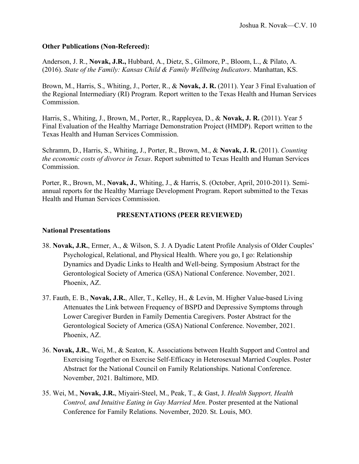### **Other Publications (Non-Refereed):**

Anderson, J. R., **Novak, J.R.,** Hubbard, A., Dietz, S., Gilmore, P., Bloom, L., & Pilato, A. (2016). *State of the Family: Kansas Child & Family Wellbeing Indicators*. Manhattan, KS.

Brown, M., Harris, S., Whiting, J., Porter, R., & **Novak, J. R.** (2011). Year 3 Final Evaluation of the Regional Intermediary (RI) Program*.* Report written to the Texas Health and Human Services Commission.

Harris, S., Whiting, J., Brown, M., Porter, R., Rappleyea, D., & **Novak, J. R.** (2011). Year 5 Final Evaluation of the Healthy Marriage Demonstration Project (HMDP). Report written to the Texas Health and Human Services Commission.

Schramm, D., Harris, S., Whiting, J., Porter, R., Brown, M., & **Novak, J. R.** (2011). *Counting the economic costs of divorce in Texas*. Report submitted to Texas Health and Human Services Commission.

Porter, R., Brown, M., **Novak, J.**, Whiting, J., & Harris, S. (October, April, 2010-2011). Semiannual reports for the Healthy Marriage Development Program. Report submitted to the Texas Health and Human Services Commission.

### **PRESENTATIONS (PEER REVIEWED)**

#### **National Presentations**

- 38. **Novak, J.R.**, Ermer, A., & Wilson, S. J. A Dyadic Latent Profile Analysis of Older Couples' Psychological, Relational, and Physical Health. Where you go, I go: Relationship Dynamics and Dyadic Links to Health and Well-being. Symposium Abstract for the Gerontological Society of America (GSA) National Conference. November, 2021. Phoenix, AZ.
- 37. Fauth, E. B., **Novak, J.R.**, Aller, T., Kelley, H., & Levin, M. Higher Value-based Living Attenuates the Link between Frequency of BSPD and Depressive Symptoms through Lower Caregiver Burden in Family Dementia Caregivers. Poster Abstract for the Gerontological Society of America (GSA) National Conference. November, 2021. Phoenix, AZ.
- 36. **Novak, J.R.**, Wei, M., & Seaton, K. Associations between Health Support and Control and Exercising Together on Exercise Self-Efficacy in Heterosexual Married Couples. Poster Abstract for the National Council on Family Relationships. National Conference. November, 2021. Baltimore, MD.
- 35. Wei, M., **Novak, J.R.**, Miyairi-Steel, M., Peak, T., & Gast, J. *Health Support, Health Control, and Intuitive Eating in Gay Married Men*. Poster presented at the National Conference for Family Relations. November, 2020. St. Louis, MO.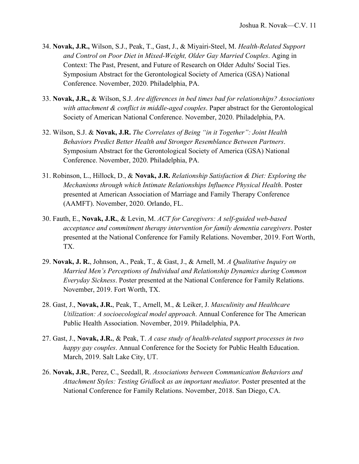- 34. **Novak, J.R.,** Wilson, S.J., Peak, T., Gast, J., & Miyairi-Steel, M. *Health-Related Support and Control on Poor Diet in Mixed-Weight, Older Gay Married Couples*. Aging in Context: The Past, Present, and Future of Research on Older Adults' Social Ties. Symposium Abstract for the Gerontological Society of America (GSA) National Conference. November, 2020. Philadelphia, PA.
- 33. **Novak, J.R.,** & Wilson, S.J. *Are differences in bed times bad for relationships? Associations with attachment & conflict in middle-aged couples*. Paper abstract for the Gerontological Society of American National Conference. November, 2020. Philadelphia, PA.
- 32. Wilson, S.J. & **Novak, J.R.** *The Correlates of Being "in it Together": Joint Health Behaviors Predict Better Health and Stronger Resemblance Between Partners*. Symposium Abstract for the Gerontological Society of America (GSA) National Conference. November, 2020. Philadelphia, PA.
- 31. Robinson, L., Hillock, D., & **Novak, J.R.** *Relationship Satisfaction & Diet: Exploring the Mechanisms through which Intimate Relationships Influence Physical Health*. Poster presented at American Association of Marriage and Family Therapy Conference (AAMFT). November, 2020. Orlando, FL.
- 30. Fauth, E., **Novak, J.R.**, & Levin, M. *ACT for Caregivers: A self-guided web-based acceptance and commitment therapy intervention for family dementia caregivers*. Poster presented at the National Conference for Family Relations. November, 2019. Fort Worth, TX.
- 29. **Novak, J. R.**, Johnson, A., Peak, T., & Gast, J., & Arnell, M. *A Qualitative Inquiry on Married Men's Perceptions of Individual and Relationship Dynamics during Common Everyday Sickness*. Poster presented at the National Conference for Family Relations. November, 2019. Fort Worth, TX.
- 28. Gast, J., **Novak, J.R.**, Peak, T., Arnell, M., & Leiker, J. *Masculinity and Healthcare Utilization: A socioecological model approach*. Annual Conference for The American Public Health Association. November, 2019. Philadelphia, PA.
- 27. Gast, J., **Novak, J.R.**, & Peak, T. *A case study of health-related support processes in two happy gay couples*. Annual Conference for the Society for Public Health Education. March, 2019. Salt Lake City, UT.
- 26. **Novak, J.R.**, Perez, C., Seedall, R. *Associations between Communication Behaviors and Attachment Styles: Testing Gridlock as an important mediator.* Poster presented at the National Conference for Family Relations. November, 2018. San Diego, CA.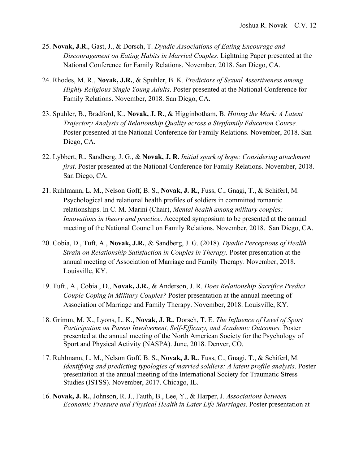- 25. **Novak, J.R.**, Gast, J., & Dorsch, T. *Dyadic Associations of Eating Encourage and Discouragement on Eating Habits in Married Couples*. Lightning Paper presented at the National Conference for Family Relations. November, 2018. San Diego, CA.
- 24. Rhodes, M. R., **Novak, J.R.**, & Spuhler, B. K. *Predictors of Sexual Assertiveness among Highly Religious Single Young Adults*. Poster presented at the National Conference for Family Relations. November, 2018. San Diego, CA.
- 23. Spuhler, B., Bradford, K., **Novak, J. R.**, & Higginbotham, B. *Hitting the Mark: A Latent Trajectory Analysis of Relationship Quality across a Stepfamily Education Course.*  Poster presented at the National Conference for Family Relations. November, 2018. San Diego, CA.
- 22. Lybbert, R., Sandberg, J. G., & **Novak, J. R.** *Initial spark of hope: Considering attachment first*. Poster presented at the National Conference for Family Relations. November, 2018. San Diego, CA.
- 21. Ruhlmann, L. M., Nelson Goff, B. S., **Novak, J. R.**, Fuss, C., Gnagi, T., & Schiferl, M. Psychological and relational health profiles of soldiers in committed romantic relationships. In C. M. Marini (Chair), *Mental health among military couples: Innovations in theory and practice*. Accepted symposium to be presented at the annual meeting of the National Council on Family Relations. November, 2018. San Diego, CA.
- 20. Cobia, D., Tuft, A., **Novak, J.R.**, & Sandberg, J. G. (2018). *Dyadic Perceptions of Health Strain on Relationship Satisfaction in Couples in Therapy.* Poster presentation at the annual meeting of Association of Marriage and Family Therapy. November, 2018. Louisville, KY.
- 19. Tuft., A., Cobia., D., **Novak, J.R.**, & Anderson, J. R. *Does Relationship Sacrifice Predict Couple Coping in Military Couples?* Poster presentation at the annual meeting of Association of Marriage and Family Therapy. November, 2018. Louisville, KY.
- 18. Grimm, M. X., Lyons, L. K., **Novak, J. R.**, Dorsch, T. E. *The Influence of Level of Sport Participation on Parent Involvement, Self-Efficacy, and Academic Outcomes.* Poster presented at the annual meeting of the North American Society for the Psychology of Sport and Physical Activity (NASPA). June, 2018. Denver, CO.
- 17. Ruhlmann, L. M., Nelson Goff, B. S., **Novak, J. R.**, Fuss, C., Gnagi, T., & Schiferl, M. *Identifying and predicting typologies of married soldiers: A latent profile analysis*. Poster presentation at the annual meeting of the International Society for Traumatic Stress Studies (ISTSS). November, 2017. Chicago, IL.
- 16. **Novak, J. R.**, Johnson, R. J., Fauth, B., Lee, Y., & Harper, J. *Associations between Economic Pressure and Physical Health in Later Life Marriages*. Poster presentation at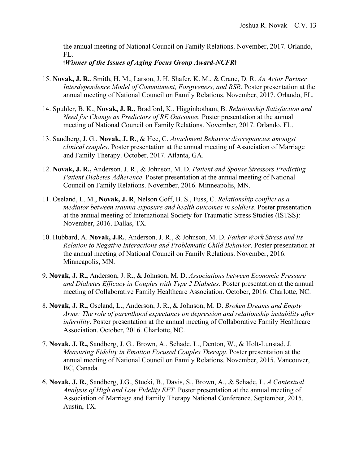the annual meeting of National Council on Family Relations. November, 2017. Orlando, FL.

### *ǂWinner of the Issues of Aging Focus Group Award-NCFRǂ*

- 15. **Novak, J. R.**, Smith, H. M., Larson, J. H. Shafer, K. M., & Crane, D. R. *An Actor Partner Interdependence Model of Commitment, Forgiveness, and RSR*. Poster presentation at the annual meeting of National Council on Family Relations. November, 2017. Orlando, FL.
- 14. Spuhler, B. K., **Novak, J. R.,** Bradford, K., Higginbotham, B. *Relationship Satisfaction and Need for Change as Predictors of RE Outcomes.* Poster presentation at the annual meeting of National Council on Family Relations. November, 2017. Orlando, FL.
- 13. Sandberg, J. G., **Novak, J. R.**, & Hee, C. *Attachment Behavior discrepancies amongst clinical couples*. Poster presentation at the annual meeting of Association of Marriage and Family Therapy. October, 2017. Atlanta, GA.
- 12. **Novak, J. R.,** Anderson, J. R., & Johnson, M. D. *Patient and Spouse Stressors Predicting Patient Diabetes Adherence*. Poster presentation at the annual meeting of National Council on Family Relations. November, 2016. Minneapolis, MN.
- 11. Oseland, L. M., **Novak, J. R**, Nelson Goff, B. S., Fuss, C. *Relationship conflict as a mediator between trauma exposure and health outcomes in soldiers*. Poster presentation at the annual meeting of International Society for Traumatic Stress Studies (ISTSS): November, 2016. Dallas, TX.
- 10. Hubbard, A. **Novak, J.R.**, Anderson, J. R., & Johnson, M. D. *Father Work Stress and its Relation to Negative Interactions and Problematic Child Behavior*. Poster presentation at the annual meeting of National Council on Family Relations. November, 2016. Minneapolis, MN.
- 9. **Novak, J. R.,** Anderson, J. R., & Johnson, M. D. *Associations between Economic Pressure and Diabetes Efficacy in Couples with Type 2 Diabetes*. Poster presentation at the annual meeting of Collaborative Family Healthcare Association. October, 2016. Charlotte, NC.
- 8. **Novak, J. R.,** Oseland, L., Anderson, J. R., & Johnson, M. D. *Broken Dreams and Empty Arms: The role of parenthood expectancy on depression and relationship instability after infertility*. Poster presentation at the annual meeting of Collaborative Family Healthcare Association. October, 2016. Charlotte, NC.
- 7. **Novak, J. R.,** Sandberg, J. G., Brown, A., Schade, L., Denton, W., & Holt-Lunstad, J. *Measuring Fidelity in Emotion Focused Couples Therapy*. Poster presentation at the annual meeting of National Council on Family Relations. November, 2015. Vancouver, BC, Canada.
- 6. **Novak, J. R.**, Sandberg, J.G., Stucki, B., Davis, S., Brown, A., & Schade, L. *A Contextual Analysis of High and Low Fidelity EFT*. Poster presentation at the annual meeting of Association of Marriage and Family Therapy National Conference. September, 2015. Austin, TX.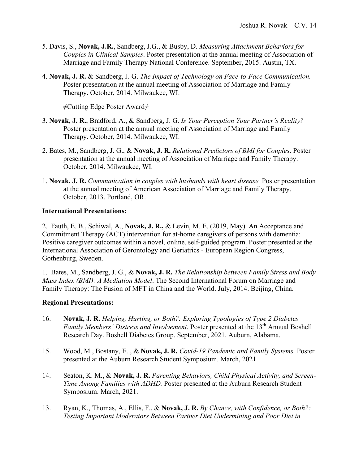- 5. Davis, S., **Novak, J.R.**, Sandberg, J.G., & Busby, D. *Measuring Attachment Behaviors for Couples in Clinical Samples*. Poster presentation at the annual meeting of Association of Marriage and Family Therapy National Conference. September, 2015. Austin, TX.
- 4. **Novak, J. R.** & Sandberg, J. G. *The Impact of Technology on Face-to-Face Communication.* Poster presentation at the annual meeting of Association of Marriage and Family Therapy. October, 2014. Milwaukee, WI.

**≠**Cutting Edge Poster Award≠

- 3. **Novak, J. R.**, Bradford, A., & Sandberg, J. G. *Is Your Perception Your Partner's Reality?* Poster presentation at the annual meeting of Association of Marriage and Family Therapy. October, 2014. Milwaukee, WI.
- 2. Bates, M., Sandberg, J. G., & **Novak, J. R.** *Relational Predictors of BMI for Couples*. Poster presentation at the annual meeting of Association of Marriage and Family Therapy. October, 2014. Milwaukee, WI.
- 1. **Novak, J. R.** *Communication in couples with husbands with heart disease.* Poster presentation at the annual meeting of American Association of Marriage and Family Therapy. October, 2013. Portland, OR.

### **International Presentations:**

2. Fauth, E. B., Schiwal, A., **Novak, J. R.,** & Levin, M. E. (2019, May). An Acceptance and Commitment Therapy (ACT) intervention for at-home caregivers of persons with dementia: Positive caregiver outcomes within a novel, online, self-guided program. Poster presented at the International Association of Gerontology and Geriatrics - European Region Congress, Gothenburg, Sweden.

1. Bates, M., Sandberg, J. G., & **Novak, J. R.** *The Relationship between Family Stress and Body Mass Index (BMI): A Mediation Model*. The Second International Forum on Marriage and Family Therapy: The Fusion of MFT in China and the World. July, 2014. Beijing, China.

### **Regional Presentations:**

- 16. **Novak, J. R.** *Helping, Hurting, or Both?: Exploring Typologies of Type 2 Diabetes Family Members' Distress and Involvement*. Poster presented at the 13<sup>th</sup> Annual Boshell Research Day. Boshell Diabetes Group. September, 2021. Auburn, Alabama.
- 15. Wood, M., Bostany, E. , & **Novak, J. R.** *Covid-19 Pandemic and Family Systems.* Poster presented at the Auburn Research Student Symposium. March, 2021.
- 14. Seaton, K. M., & **Novak, J. R.** *Parenting Behaviors, Child Physical Activity, and Screen-Time Among Families with ADHD.* Poster presented at the Auburn Research Student Symposium. March, 2021.
- 13. Ryan, K., Thomas, A., Ellis, F., & **Novak, J. R.** *By Chance, with Confidence, or Both?: Testing Important Moderators Between Partner Diet Undermining and Poor Diet in*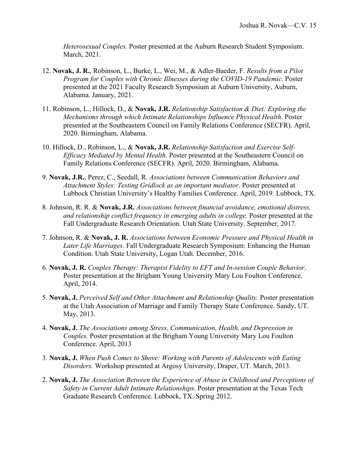*Heterosexual Couples.* Poster presented at the Auburn Research Student Symposium. March, 2021.

- 12. **Novak, J. R.**, Robinson, L., Burke, L., Wei, M., & Adler-Baeder, F. *Results from a Pilot Program for Couples with Chronic Illnesses during the COVID-19 Pandemic*. Poster presented at the 2021 Faculty Research Symposium at Auburn University, Auburn, Alabama. January, 2021.
- 11. Robinson, L., Hillock, D., & **Novak, J.R.** *Relationship Satisfaction & Diet: Exploring the Mechanisms through which Intimate Relationships Influence Physical Health*. Poster presented at the Southeastern Council on Family Relations Conference (SECFR). April, 2020. Birmingham, Alabama.
- 10. Hillock, D., Robinson, L., & **Novak, J.R.** *Relationship Satisfaction and Exercise Self-Efficacy Mediated by Mental Health*. Poster presented at the Southeastern Council on Family Relations Conference (SECFR). April, 2020. Birmingham, Alabama.
- 9. **Novak, J.R.**, Perez, C., Seedall, R. *Associations between Communication Behaviors and Attachment Styles: Testing Gridlock as an important mediator*. Poster presented at Lubbock Christian University's Healthy Families Conference. April, 2019. Lubbock, TX.
- 8. Johnson, R. R. & **Novak, J.R.** *Associations between financial avoidance, emotional distress, and relationship conflict frequency in emerging adults in college*. Poster presented at the Fall Undergraduate Research Orientation. Utah State University. September, 2017.
- 7. Johnson, R. & **Novak, J. R.** *Associations between Economic Pressure and Physical Health in Later Life Marriages*. Fall Undergraduate Research Symposium: Enhancing the Human Condition. Utah State University, Logan Utah. December, 2016.
- 6. **Novak, J. R.** *Couples Therapy: Therapist Fidelity to EFT and In-session Couple Behavior*. Poster presentation at the Brigham Young University Mary Lou Foulton Conference. April, 2014.
- 5. **Novak, J.** *Perceived Self and Other Attachment and Relationship Quality.* Poster presentation at the Utah Association of Marriage and Family Therapy State Conference. Sandy, UT. May, 2013.
- 4. **Novak, J.** *The Associations among Stress, Communication, Health, and Depression in Couples.* Poster presentation at the Brigham Young University Mary Lou Foulton Conference. April, 2013
- 3. **Novak, J.** *When Push Comes to Shove: Working with Parents of Adolescents with Eating Disorders.* Workshop presented at Argosy University, Draper, UT. March, 2013.
- 2. **Novak, J.** *The Association Between the Experience of Abuse in Childhood and Perceptions of Safety in Current Adult Intimate Relationships*. Poster presentation at the Texas Tech Graduate Research Conference. Lubbock, TX. Spring 2012.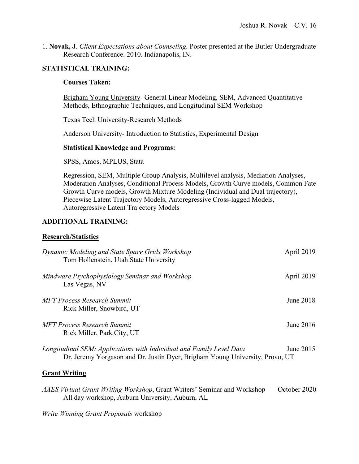1. **Novak, J**. *Client Expectations about Counseling.* Poster presented at the Butler Undergraduate Research Conference. 2010. Indianapolis, IN.

### **STATISTICAL TRAINING:**

### **Courses Taken:**

Brigham Young University- General Linear Modeling, SEM, Advanced Quantitative Methods, Ethnographic Techniques, and Longitudinal SEM Workshop

Texas Tech University-Research Methods

Anderson University- Introduction to Statistics, Experimental Design

#### **Statistical Knowledge and Programs:**

SPSS, Amos, MPLUS, Stata

Regression, SEM, Multiple Group Analysis, Multilevel analysis, Mediation Analyses, Moderation Analyses, Conditional Process Models, Growth Curve models, Common Fate Growth Curve models, Growth Mixture Modeling (Individual and Dual trajectory), Piecewise Latent Trajectory Models, Autoregressive Cross-lagged Models, Autoregressive Latent Trajectory Models

### **ADDITIONAL TRAINING:**

### **Research/Statistics**

| Dynamic Modeling and State Space Grids Workshop<br>Tom Hollenstein, Utah State University                                                            | April 2019  |
|------------------------------------------------------------------------------------------------------------------------------------------------------|-------------|
| Mindware Psychophysiology Seminar and Workshop<br>Las Vegas, NV                                                                                      | April 2019  |
| MFT Process Research Summit<br>Rick Miller, Snowbird, UT                                                                                             | June $2018$ |
| MFT Process Research Summit<br>Rick Miller, Park City, UT                                                                                            | June 2016   |
| Longitudinal SEM: Applications with Individual and Family Level Data<br>Dr. Jeremy Yorgason and Dr. Justin Dyer, Brigham Young University, Provo, UT | June $2015$ |

### **Grant Writing**

*AAES Virtual Grant Writing Workshop*, Grant Writers' Seminar and Workshop October 2020 All day workshop, Auburn University, Auburn, AL

*Write Winning Grant Proposals* workshop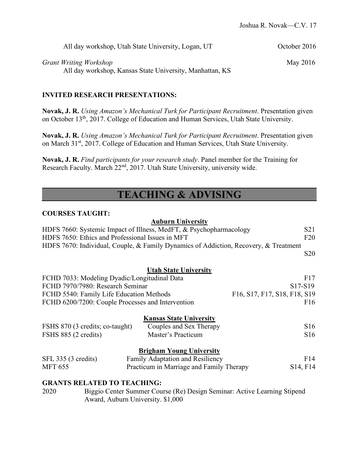| All day workshop, Utah State University, Logan, UT       | October 2016 |  |
|----------------------------------------------------------|--------------|--|
| Grant Writing Workshop                                   | May 2016     |  |
| All day workshop, Kansas State University, Manhattan, KS |              |  |

### **INVITED RESEARCH PRESENTATIONS:**

**Novak, J. R.** *Using Amazon's Mechanical Turk for Participant Recruitment*. Presentation given on October 13th, 2017. College of Education and Human Services, Utah State University.

**Novak, J. R.** *Using Amazon's Mechanical Turk for Participant Recruitment*. Presentation given on March 31<sup>st</sup>, 2017. College of Education and Human Services, Utah State University.

**Novak, J. R.** *Find participants for your research study*. Panel member for the Training for Research Faculty. March 22<sup>nd</sup>, 2017. Utah State University, university wide.

# **TEACHING & ADVISING**

#### **COURSES TAUGHT:**

#### **Auburn University**

| HDFS 7660: Systemic Impact of Illness, MedFT, & Psychopharmacology                   | S <sub>21</sub> |
|--------------------------------------------------------------------------------------|-----------------|
| HDFS 7650: Ethics and Professional Issues in MFT                                     | F20             |
| HDFS 7670: Individual, Couple, & Family Dynamics of Addiction, Recovery, & Treatment |                 |
|                                                                                      | S <sub>20</sub> |
|                                                                                      |                 |
| <b>Utah State University</b>                                                         |                 |
| FCHD 7033: Modeling Dyadic/Longitudinal Data                                         | F17             |
| FCHD 7970/7980: Research Seminar                                                     | $S17-S19$       |
| F16, S17, F17, S18, F18, S19<br>FCHD 5540: Family Life Education Methods             |                 |

# FCHD 6200/7200: Couple Processes and Intervention F16 **Kansas State University**

| FSHS 870 (3 credits; co-taught) | Couples and Sex Therapy | <b>S16</b> |
|---------------------------------|-------------------------|------------|
| FSHS 885 (2 credits)            | Master's Practicum      | <b>S16</b> |

### **Brigham Young University**

| SFL 335 (3 credits) | Family Adaptation and Resiliency         | F14                               |
|---------------------|------------------------------------------|-----------------------------------|
| <b>MFT 655</b>      | Practicum in Marriage and Family Therapy | S <sub>14</sub> , F <sub>14</sub> |

#### **GRANTS RELATED TO TEACHING:**

2020 Biggio Center Summer Course (Re) Design Seminar: Active Learning Stipend Award, Auburn University. \$1,000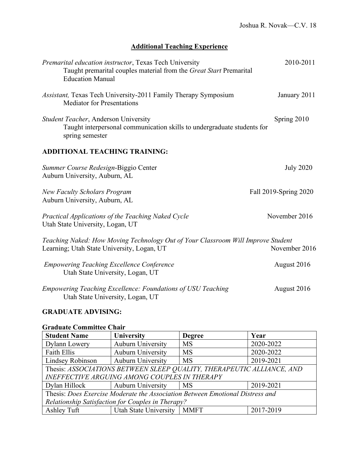## **Additional Teaching Experience**

| Premarital education instructor, Texas Tech University<br>Taught premarital couples material from the Great Start Premarital<br><b>Education Manual</b> | 2010-2011             |
|---------------------------------------------------------------------------------------------------------------------------------------------------------|-----------------------|
| <i>Assistant</i> , Texas Tech University-2011 Family Therapy Symposium<br><b>Mediator for Presentations</b>                                             | January 2011          |
| Student Teacher, Anderson University<br>Taught interpersonal communication skills to undergraduate students for<br>spring semester                      | Spring 2010           |
| <b>ADDITIONAL TEACHING TRAINING:</b>                                                                                                                    |                       |
| Summer Course Redesign-Biggio Center<br>Auburn University, Auburn, AL                                                                                   | <b>July 2020</b>      |
| <b>New Faculty Scholars Program</b><br>Auburn University, Auburn, AL                                                                                    | Fall 2019-Spring 2020 |
| Practical Applications of the Teaching Naked Cycle<br>Utah State University, Logan, UT                                                                  | November 2016         |
| Teaching Naked: How Moving Technology Out of Your Classroom Will Improve Student<br>Learning; Utah State University, Logan, UT                          | November 2016         |
| <b>Empowering Teaching Excellence Conference</b><br>Utah State University, Logan, UT                                                                    | August 2016           |
| <b>Empowering Teaching Excellence: Foundations of USU Teaching</b><br>Utah State University, Logan, UT                                                  | August 2016           |

## **GRADUATE ADVISING:**

### **Graduate Committee Chair**

| <b>Student Name</b>                                                           | <b>University</b>            | <b>Degree</b> | Year      |
|-------------------------------------------------------------------------------|------------------------------|---------------|-----------|
| Dylann Lowery                                                                 | <b>Auburn University</b>     | <b>MS</b>     | 2020-2022 |
| Faith Ellis                                                                   | <b>Auburn University</b>     | <b>MS</b>     | 2020-2022 |
| Lindsey Robinson                                                              | <b>Auburn University</b>     | MS            | 2019-2021 |
| Thesis: ASSOCIATIONS BETWEEN SLEEP QUALITY, THERAPEUTIC ALLIANCE, AND         |                              |               |           |
| <b>INEFFECTIVE ARGUING AMONG COUPLES IN THERAPY</b>                           |                              |               |           |
| Dylan Hillock                                                                 | Auburn University            | <b>MS</b>     | 2019-2021 |
| Thesis: Does Exercise Moderate the Association Between Emotional Distress and |                              |               |           |
| Relationship Satisfaction for Couples in Therapy?                             |                              |               |           |
| Ashley Tuft                                                                   | Utah State University   MMFT |               | 2017-2019 |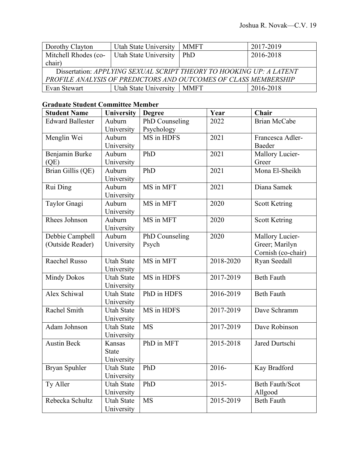| Dorothy Clayton                                                     | Utah State University        | <b>MMFT</b> | 2017-2019 |
|---------------------------------------------------------------------|------------------------------|-------------|-----------|
| Mitchell Rhodes (co-                                                | <b>Utah State University</b> | PhD         | 2016-2018 |
| chair)                                                              |                              |             |           |
| Dissertation: APPLYING SEXUAL SCRIPT THEORY TO HOOKING UP: A LATENT |                              |             |           |
| PROFILE ANALYSIS OF PREDICTORS AND OUTCOMES OF CLASS MEMBERSHIP     |                              |             |           |
| Evan Stewart                                                        | Utah State University        | <b>MMFT</b> | 2016-2018 |

## **Graduate Student Committee Member**

| <b>Student Name</b>     | <b>University</b> | <b>Degree</b>  | Year      | Chair                  |
|-------------------------|-------------------|----------------|-----------|------------------------|
| <b>Edward Ballester</b> | Auburn            | PhD Counseling | 2022      | <b>Brian McCabe</b>    |
|                         | University        | Psychology     |           |                        |
| Menglin Wei             | Auburn            | MS in HDFS     | 2021      | Francesca Adler-       |
|                         | University        |                |           | Baeder                 |
| Benjamin Burke          | Auburn            | PhD            | 2021      | Mallory Lucier-        |
| (QE)                    | University        |                |           | Greer                  |
| Brian Gillis (QE)       | Auburn            | PhD            | 2021      | Mona El-Sheikh         |
|                         | University        |                |           |                        |
| Rui Ding                | Auburn            | MS in MFT      | 2021      | Diana Samek            |
|                         | University        |                |           |                        |
| Taylor Gnagi            | Auburn            | MS in MFT      | 2020      | <b>Scott Ketring</b>   |
|                         | University        |                |           |                        |
| Rhees Johnson           | Auburn            | MS in MFT      | 2020      | <b>Scott Ketring</b>   |
|                         | University        |                |           |                        |
| Debbie Campbell         | Auburn            | PhD Counseling | 2020      | Mallory Lucier-        |
| (Outside Reader)        | University        | Psych          |           | Greer; Marilyn         |
|                         |                   |                |           | Cornish (co-chair)     |
| Raechel Russo           | <b>Utah State</b> | MS in MFT      | 2018-2020 | Ryan Seedall           |
|                         | University        |                |           |                        |
| <b>Mindy Dokos</b>      | <b>Utah State</b> | MS in HDFS     | 2017-2019 | <b>Beth Fauth</b>      |
|                         | University        |                |           |                        |
| <b>Alex Schiwal</b>     | <b>Utah State</b> | PhD in HDFS    | 2016-2019 | <b>Beth Fauth</b>      |
|                         | University        |                |           |                        |
| Rachel Smith            | <b>Utah State</b> | MS in HDFS     | 2017-2019 | Dave Schramm           |
|                         | University        |                |           |                        |
| Adam Johnson            | <b>Utah State</b> | <b>MS</b>      | 2017-2019 | Dave Robinson          |
|                         | University        |                |           |                        |
| <b>Austin Beck</b>      | Kansas            | PhD in MFT     | 2015-2018 | Jared Durtschi         |
|                         | <b>State</b>      |                |           |                        |
|                         | University        |                |           |                        |
| Bryan Spuhler           | <b>Utah State</b> | PhD            | 2016-     | Kay Bradford           |
|                         | University        |                |           |                        |
| Ty Aller                | <b>Utah State</b> | PhD            | $2015 -$  | <b>Beth Fauth/Scot</b> |
|                         | University        |                |           | Allgood                |
| Rebecka Schultz         | <b>Utah State</b> | <b>MS</b>      | 2015-2019 | <b>Beth Fauth</b>      |
|                         | University        |                |           |                        |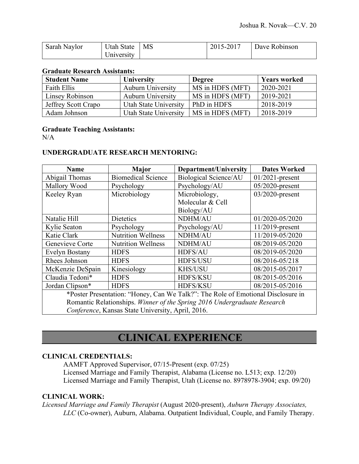| Sarah Naylor | <b>Jtah State</b> | MS | 2015-2017 | Dave Robinson |
|--------------|-------------------|----|-----------|---------------|
|              | Jniversitv        |    |           |               |

#### **Graduate Research Assistants:**

| <b>Student Name</b> | <b>University</b>        | <b>Degree</b>    | <b>Years worked</b> |
|---------------------|--------------------------|------------------|---------------------|
| Faith Ellis         | <b>Auburn University</b> | MS in HDFS (MFT) | 2020-2021           |
| Linsey Robinson     | <b>Auburn University</b> | MS in HDFS (MFT) | 2019-2021           |
| Jeffrey Scott Crapo | Utah State University    | PhD in HDFS      | 2018-2019           |
| Adam Johnson        | Utah State University    | MS in HDFS (MFT) | 2018-2019           |

### **Graduate Teaching Assistants:**

 $N/A$ 

### **UNDERGRADUATE RESEARCH MENTORING:**

| <b>Name</b>                                                                      | <b>Major</b>              | <b>Department/University</b> | <b>Dates Worked</b> |
|----------------------------------------------------------------------------------|---------------------------|------------------------------|---------------------|
| Abigail Thomas                                                                   | <b>Biomedical Science</b> | <b>Biological Science/AU</b> | $01/2021$ -present  |
| Mallory Wood                                                                     | Psychology                | Psychology/AU                | $05/2020$ -present  |
| Keeley Ryan                                                                      | Microbiology              | Microbiology,                | 03/2020-present     |
|                                                                                  |                           | Molecular & Cell             |                     |
|                                                                                  |                           | Biology/AU                   |                     |
| Natalie Hill                                                                     | <b>Dietetics</b>          | NDHM/AU                      | 01/2020-05/2020     |
| Kylie Seaton                                                                     | Psychology                | Psychology/AU                | $11/2019$ -present  |
| Katie Clark                                                                      | <b>Nutrition Wellness</b> | NDHM/AU                      | 11/2019-05/2020     |
| Genevieve Corte                                                                  | <b>Nutrition Wellness</b> | NDHM/AU                      | 08/2019-05/2020     |
| <b>Evelyn Bostany</b>                                                            | <b>HDFS</b>               | HDFS/AU                      | 08/2019-05/2020     |
| Rhees Johnson                                                                    | <b>HDFS</b>               | HDFS/USU                     | 08/2016-05/218      |
| McKenzie DeSpain                                                                 | Kinesiology               | <b>KHS/USU</b>               | 08/2015-05/2017     |
| Claudia Tedoni*                                                                  | <b>HDFS</b>               | HDFS/KSU                     | 08/2015-05/2016     |
| Jordan Clipson*                                                                  | <b>HDFS</b>               | <b>HDFS/KSU</b>              | 08/2015-05/2016     |
| *Poster Presentation: "Honey, Can We Talk?": The Role of Emotional Disclosure in |                           |                              |                     |
| Romantic Relationships. Winner of the Spring 2016 Undergraduate Research         |                           |                              |                     |
| Conference, Kansas State University, April, 2016.                                |                           |                              |                     |

# **CLINICAL EXPERIENCE**

#### **CLINICAL CREDENTIALS:**

AAMFT Approved Supervisor, 07/15-Present (exp. 07/25) Licensed Marriage and Family Therapist, Alabama (License no. L513; exp. 12/20) Licensed Marriage and Family Therapist, Utah (License no. 8978978-3904; exp. 09/20)

### **CLINICAL WORK:**

*Licensed Marriage and Family Therapist* (August 2020-present), *Auburn Therapy Associates, LLC* (Co-owner), Auburn, Alabama. Outpatient Individual, Couple, and Family Therapy.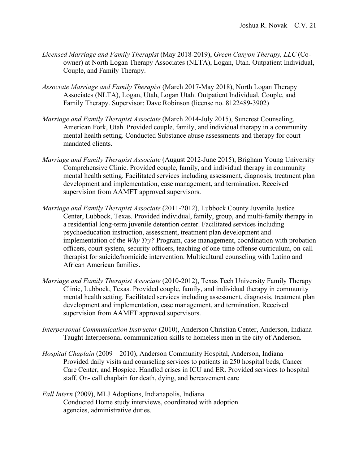- *Licensed Marriage and Family Therapist* (May 2018-2019), *Green Canyon Therapy, LLC* (Coowner) at North Logan Therapy Associates (NLTA), Logan, Utah. Outpatient Individual, Couple, and Family Therapy.
- *Associate Marriage and Family Therapist* (March 2017-May 2018), North Logan Therapy Associates (NLTA), Logan, Utah, Logan Utah. Outpatient Individual, Couple, and Family Therapy. Supervisor: Dave Robinson (license no. 8122489-3902)
- *Marriage and Family Therapist Associate* (March 2014-July 2015), Suncrest Counseling, American Fork, Utah Provided couple, family, and individual therapy in a community mental health setting. Conducted Substance abuse assessments and therapy for court mandated clients.
- *Marriage and Family Therapist Associate* (August 2012-June 2015), Brigham Young University Comprehensive Clinic. Provided couple, family, and individual therapy in community mental health setting. Facilitated services including assessment, diagnosis, treatment plan development and implementation, case management, and termination. Received supervision from AAMFT approved supervisors.
- *Marriage and Family Therapist Associate* (2011-2012), Lubbock County Juvenile Justice Center, Lubbock, Texas. Provided individual, family, group, and multi-family therapy in a residential long-term juvenile detention center. Facilitated services including psychoeducation instruction, assessment, treatment plan development and implementation of the *Why Try?* Program, case management, coordination with probation officers, court system, security officers, teaching of one-time offense curriculum, on-call therapist for suicide/homicide intervention. Multicultural counseling with Latino and African American families.
- *Marriage and Family Therapist Associate* (2010-2012), Texas Tech University Family Therapy Clinic, Lubbock, Texas. Provided couple, family, and individual therapy in community mental health setting. Facilitated services including assessment, diagnosis, treatment plan development and implementation, case management, and termination. Received supervision from AAMFT approved supervisors.
- *Interpersonal Communication Instructor* (2010), Anderson Christian Center, Anderson, Indiana Taught Interpersonal communication skills to homeless men in the city of Anderson.
- *Hospital Chaplain* (2009 2010), Anderson Community Hospital, Anderson, Indiana Provided daily visits and counseling services to patients in 250 hospital beds, Cancer Care Center, and Hospice. Handled crises in ICU and ER. Provided services to hospital staff. On- call chaplain for death, dying, and bereavement care
- *Fall Intern* (2009), MLJ Adoptions, Indianapolis, Indiana Conducted Home study interviews, coordinated with adoption agencies, administrative duties.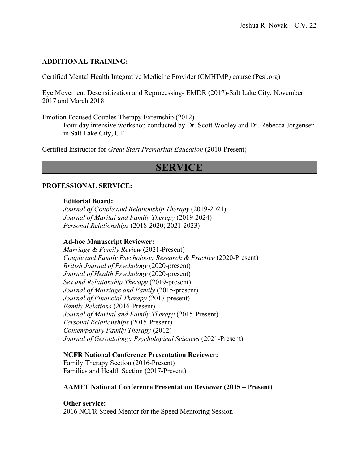### **ADDITIONAL TRAINING:**

Certified Mental Health Integrative Medicine Provider (CMHIMP) course (Pesi.org)

Eye Movement Desensitization and Reprocessing- EMDR (2017)-Salt Lake City, November 2017 and March 2018

Emotion Focused Couples Therapy Externship (2012)

Four-day intensive workshop conducted by Dr. Scott Wooley and Dr. Rebecca Jorgensen in Salt Lake City, UT

Certified Instructor for *Great Start Premarital Education* (2010-Present)

# **SERVICE**

#### **PROFESSIONAL SERVICE:**

### **Editorial Board:**

*Journal of Couple and Relationship Therapy* (2019-2021) *Journal of Marital and Family Therapy* (2019-2024) *Personal Relationships* (2018-2020; 2021-2023)

### **Ad-hoc Manuscript Reviewer:**

*Marriage & Family Review* (2021-Present) *Couple and Family Psychology: Research & Practice* (2020-Present) *British Journal of Psychology* (2020-present) *Journal of Health Psychology* (2020-present) *Sex and Relationship Therapy* (2019-present) *Journal of Marriage and Family* (2015-present) *Journal of Financial Therapy* (2017-present) *Family Relations* (2016-Present) *Journal of Marital and Family Therapy* (2015-Present) *Personal Relationships* (2015-Present) *Contemporary Family Therapy* (2012) *Journal of Gerontology: Psychological Sciences* (2021-Present)

### **NCFR National Conference Presentation Reviewer:**

Family Therapy Section (2016-Present) Families and Health Section (2017-Present)

### **AAMFT National Conference Presentation Reviewer (2015 – Present)**

**Other service:** 2016 NCFR Speed Mentor for the Speed Mentoring Session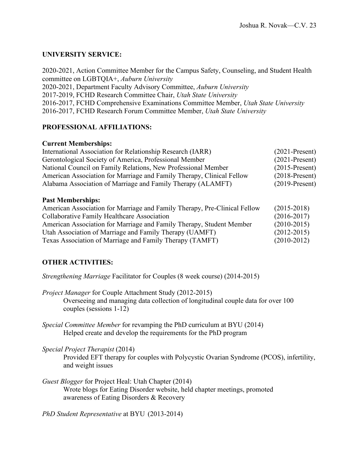## **UNIVERSITY SERVICE:**

2020-2021, Action Committee Member for the Campus Safety, Counseling, and Student Health committee on LGBTQIA+, *Auburn University* 2020-2021, Department Faculty Advisory Committee, *Auburn University* 2017-2019, FCHD Research Committee Chair, *Utah State University* 2016-2017, FCHD Comprehensive Examinations Committee Member, *Utah State University* 2016-2017, FCHD Research Forum Committee Member, *Utah State University*

## **PROFESSIONAL AFFILIATIONS:**

### **Current Memberships:**

| International Association for Relationship Research (IARR)            | $(2021-Present)$ |
|-----------------------------------------------------------------------|------------------|
| Gerontological Society of America, Professional Member                | $(2021-Present)$ |
| National Council on Family Relations, New Professional Member         | $(2015-Present)$ |
| American Association for Marriage and Family Therapy, Clinical Fellow | $(2018-Present)$ |
| Alabama Association of Marriage and Family Therapy (ALAMFT)           | $(2019-Present)$ |

### **Past Memberships:**

| American Association for Marriage and Family Therapy, Pre-Clinical Fellow | $(2015 - 2018)$ |
|---------------------------------------------------------------------------|-----------------|
| Collaborative Family Healthcare Association                               | $(2016 - 2017)$ |
| American Association for Marriage and Family Therapy, Student Member      | $(2010-2015)$   |
| Utah Association of Marriage and Family Therapy (UAMFT)                   | $(2012 - 2015)$ |
| Texas Association of Marriage and Family Therapy (TAMFT)                  | $(2010-2012)$   |

## **OTHER ACTIVITIES:**

*Strengthening Marriage* Facilitator for Couples (8 week course) (2014-2015)

- *Project Manager* for Couple Attachment Study (2012-2015) Overseeing and managing data collection of longitudinal couple data for over 100 couples (sessions 1-12)
- *Special Committee Member* for revamping the PhD curriculum at BYU (2014) Helped create and develop the requirements for the PhD program
- *Special Project Therapist* (2014)

Provided EFT therapy for couples with Polycystic Ovarian Syndrome (PCOS), infertility, and weight issues

*Guest Blogger* for Project Heal: Utah Chapter (2014) Wrote blogs for Eating Disorder website, held chapter meetings, promoted awareness of Eating Disorders & Recovery

*PhD Student Representative* at BYU (2013-2014)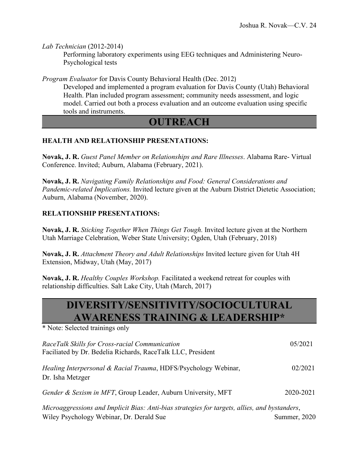*Lab Technician* (2012-2014)

Performing laboratory experiments using EEG techniques and Administering Neuro-Psychological tests

*Program Evaluator* for Davis County Behavioral Health (Dec. 2012)

Developed and implemented a program evaluation for Davis County (Utah) Behavioral Health. Plan included program assessment; community needs assessment, and logic model. Carried out both a process evaluation and an outcome evaluation using specific tools and instruments.

# **OUTREACH**

## **HEALTH AND RELATIONSHIP PRESENTATIONS:**

**Novak, J. R.** *Guest Panel Member on Relationships and Rare Illnesses*. Alabama Rare- Virtual Conference. Invited; Auburn, Alabama (February, 2021).

**Novak, J. R.** *Navigating Family Relationships and Food: General Considerations and Pandemic-related Implications.* Invited lecture given at the Auburn District Dietetic Association; Auburn, Alabama (November, 2020).

## **RELATIONSHIP PRESENTATIONS:**

**Novak, J. R.** *Sticking Together When Things Get Tough.* Invited lecture given at the Northern Utah Marriage Celebration, Weber State University; Ogden, Utah (February, 2018)

**Novak, J. R.** *Attachment Theory and Adult Relationships* Invited lecture given for Utah 4H Extension, Midway, Utah (May, 2017)

**Novak, J. R.** *Healthy Couples Workshop.* Facilitated a weekend retreat for couples with relationship difficulties. Salt Lake City, Utah (March, 2017)

# **DIVERSITY/SENSITIVITY/SOCIOCULTURAL AWARENESS TRAINING & LEADERSHIP\***

\* Note: Selected trainings only

| RaceTalk Skills for Cross-racial Communication<br>Faciliated by Dr. Bedelia Richards, RaceTalk LLC, President                             | 05/2021      |
|-------------------------------------------------------------------------------------------------------------------------------------------|--------------|
| <i>Healing Interpersonal &amp; Racial Trauma, HDFS/Psychology Webinar,</i><br>Dr. Isha Metzger                                            | 02/2021      |
| Gender & Sexism in MFT, Group Leader, Auburn University, MFT                                                                              | 2020-2021    |
| Microaggressions and Implicit Bias: Anti-bias strategies for targets, allies, and bystanders,<br>Wiley Psychology Webinar, Dr. Derald Sue | Summer, 2020 |